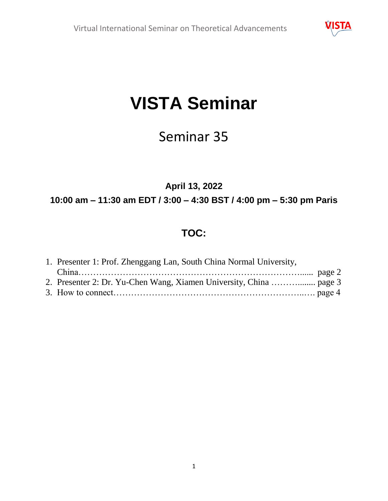

# **VISTA Seminar**

# Seminar 35

### **April 13, 2022 10:00 am – 11:30 am EDT / 3:00 – 4:30 BST / 4:00 pm – 5:30 pm Paris**

## **TOC:**

| 1. Presenter 1: Prof. Zhenggang Lan, South China Normal University, |  |
|---------------------------------------------------------------------|--|
|                                                                     |  |
|                                                                     |  |
|                                                                     |  |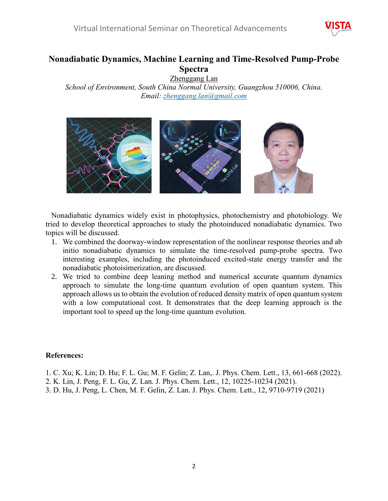

#### **Nonadiabatic Dynamics, Machine Learning and Time-Resolved Pump-Probe Spectra**

Zhenggang Lan

*School of Environment, South China Normal University, Guangzhou 510006, China. Email: [zhenggang.lan@gmail.com](mailto:zhenggang.lan@gmail.com)*



Nonadiabatic dynamics widely exist in photophysics, photochemistry and photobiology. We tried to develop theoretical approaches to study the photoinduced nonadiabatic dynamics. Two topics will be discussed.

- 1. We combined the doorway-window representation of the nonlinear response theories and ab initio nonadiabatic dynamics to simulate the time-resolved pump-probe spectra. Two interesting examples, including the photoinduced excited-state energy transfer and the nonadiabatic photoisimerization, are discussed.
- 2. We tried to combine deep leaning method and numerical accurate quantum dynamics approach to simulate the long-time quantum evolution of open quantum system. This approach allows us to obtain the evolution of reduced density matrix of open quantum system with a low computational cost. It demonstrates that the deep learning approach is the important tool to speed up the long-time quantum evolution.

#### **References:**

- 1. C. Xu; K. Lin; D. Hu; F. L. Gu; M. F. Gelin; Z. Lan,. J. Phys. Chem. Lett., 13, 661-668 (2022).
- 2. K. Lin, J. Peng, F. L. Gu, Z. Lan. J. Phys. Chem. Lett., 12, 10225-10234 (2021).
- 3. D. Hu, J. Peng, L. Chen, M. F. Gelin, Z. Lan. J. Phys. Chem. Lett., 12, 9710-9719 (2021)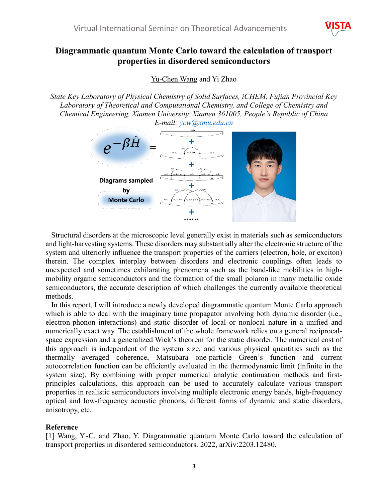

#### **Diagrammatic quantum Monte Carlo toward the calculation of transport properties in disordered semiconductors**

Yu-Chen Wang and Yi Zhao

*State Key Laboratory of Physical Chemistry of Solid Surfaces, iCHEM, Fujian Provincial Key Laboratory of Theoretical and Computational Chemistry, and College of Chemistry and Chemical Engineering, Xiamen University, Xiamen 361005, People's Republic of China E-mail: [ycw@xmu.edu.cn](mailto:ycw@xmu.edu.cn)*



Structural disorders at the microscopic level generally exist in materials such as semiconductors and light-harvesting systems. These disorders may substantially alter the electronic structure of the system and ulteriorly influence the transport properties of the carriers (electron, hole, or exciton) therein. The complex interplay between disorders and electronic couplings often leads to unexpected and sometimes exhilarating phenomena such as the band-like mobilities in highmobility organic semiconductors and the formation of the small polaron in many metallic oxide semiconductors, the accurate description of which challenges the currently available theoretical methods.

In this report, I will introduce a newly developed diagrammatic quantum Monte Carlo approach which is able to deal with the imaginary time propagator involving both dynamic disorder (i.e., electron-phonon interactions) and static disorder of local or nonlocal nature in a unified and numerically exact way. The establishment of the whole framework relies on a general reciprocalspace expression and a generalized Wick's theorem for the static disorder. The numerical cost of this approach is independent of the system size, and various physical quantities such as the thermally averaged coherence, Matsubara one-particle Green's function and current autocorrelation function can be efficiently evaluated in the thermodynamic limit (infinite in the system size). By combining with proper numerical analytic continuation methods and firstprinciples calculations, this approach can be used to accurately calculate various transport properties in realistic semiconductors involving multiple electronic energy bands, high-frequency optical and low-frequency acoustic phonons, different forms of dynamic and static disorders, anisotropy, etc.

#### **Reference**

[1] Wang, Y.-C. and Zhao, Y. Diagrammatic quantum Monte Carlo toward the calculation of transport properties in disordered semiconductors. 2022, arXiv:2203.12480.